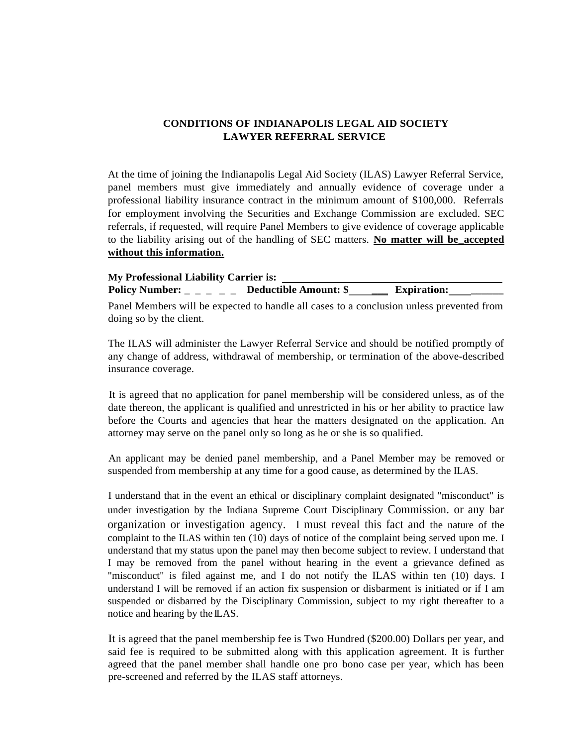## **CONDITIONS OF INDIANAPOLIS LEGAL AID SOCIETY LAWYER REFERRAL SERVICE**

At the time of joining the Indianapolis Legal Aid Society (ILAS) Lawyer Referral Service, panel members must give immediately and annually evidence of coverage under a professional liability insurance contract in the minimum amount of \$100,000. Referrals for employment involving the Securities and Exchange Commission are excluded. SEC referrals, if requested, will require Panel Members to give evidence of coverage applicable to the liability arising out of the handling of SEC matters. **No matter will be\_accepted without this information.**

## **My Professional Liability Carrier is:** Policy Number: \_ \_ \_ \_ \_ Deductible Amount: \$ \_\_\_\_\_\_\_\_ Expiration:

Panel Members will be expected to handle all cases to a conclusion unless prevented from doing so by the client.

The ILAS will administer the Lawyer Referral Service and should be notified promptly of any change of address, withdrawal of membership, or termination of the above-described insurance coverage.

It is agreed that no application for panel membership will be considered unless, as of the date thereon, the applicant is qualified and unrestricted in his or her ability to practice law before the Courts and agencies that hear the matters designated on the application. An attorney may serve on the panel only so long as he or she is so qualified.

An applicant may be denied panel membership, and a Panel Member may be removed or suspended from membership at any time for a good cause, as determined by the ILAS.

I understand that in the event an ethical or disciplinary complaint designated "misconduct" is under investigation by the Indiana Supreme Court Disciplinary Commission. or any bar organization or investigation agency. I must reveal this fact and the nature of the complaint to the ILAS within ten (10) days of notice of the complaint being served upon me. I understand that my status upon the panel may then become subject to review. I understand that I may be removed from the panel without hearing in the event a grievance defined as "misconduct" is filed against me, and I do not notify the ILAS within ten (10) days. I understand I will be removed if an action fix suspension or disbarment is initiated or if I am suspended or disbarred by the Disciplinary Commission, subject to my right thereafter to a notice and hearing by the ILAS.

It is agreed that the panel membership fee is Two Hundred (\$200.00) Dollars per year, and said fee is required to be submitted along with this application agreement. It is further agreed that the panel member shall handle one pro bono case per year, which has been pre-screened and referred by the ILAS staff attorneys.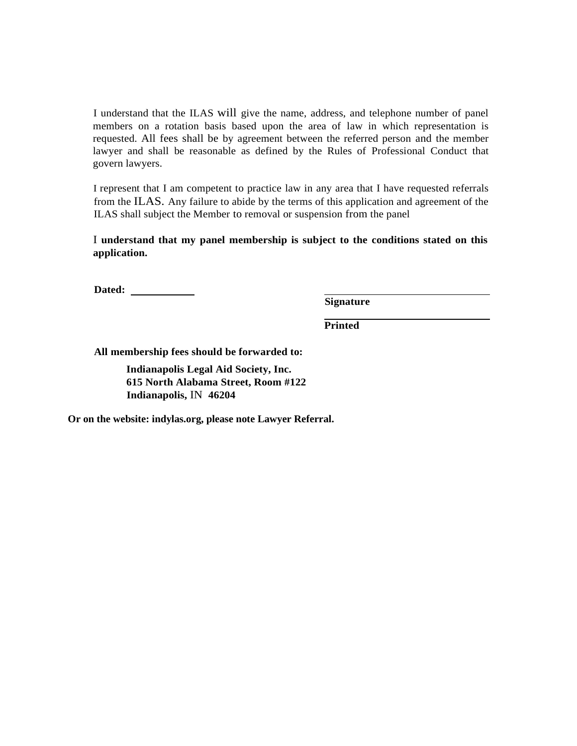I understand that the ILAS will give the name, address, and telephone number of panel members on a rotation basis based upon the area of law in which representation is requested. All fees shall be by agreement between the referred person and the member lawyer and shall be reasonable as defined by the Rules of Professional Conduct that govern lawyers.

I represent that I am competent to practice law in any area that I have requested referrals from the ILAS. Any failure to abide by the terms of this application and agreement of the ILAS shall subject the Member to removal or suspension from the panel

I **understand that my panel membership is subject to the conditions stated on this application.**

**Dated:**

**Signature**

**Printed**

**All membership fees should be forwarded to:** 

**Indianapolis Legal Aid Society, Inc. 615 North Alabama Street, Room #122 Indianapolis,** IN **46204**

**Or on the website: indylas.org, please note Lawyer Referral.**